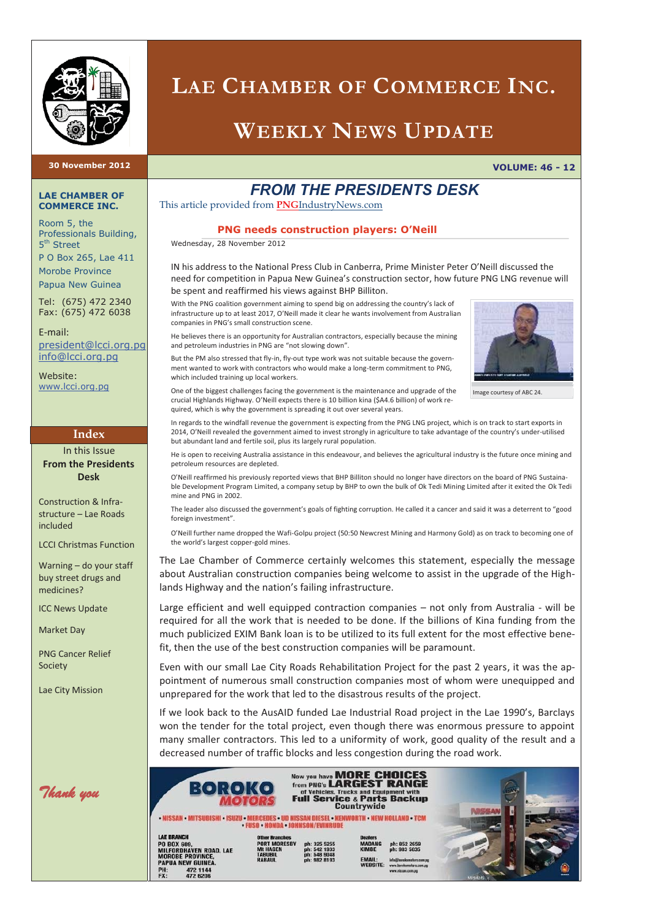

## **LAE CHAMBER OF COMMERCE INC.**

## **WEEKLY NEWS UPDATE**

**30 November 2012 VOLUME: 46 - 12** 

#### **LAE CHAMBER OF COMMERCE INC.**

Room 5, the Professionals Building, 5<sup>th</sup> Street

P O Box 265, Lae 411 Morobe Province Papua New Guinea

Tel: (675) 472 2340 Fax: (675) 472 6038

E-mail: president@lcci.org.pg info@lcci.org.pg

Website: www.lcci.org.pg

#### **Index**

In this Issue **From the Presidents Desk** 

Construction & Infrastructure – Lae Roads included

LCCI Christmas Function

Warning – do your staff buy street drugs and medicines?

ICC News Update

Market Day

PNG Cancer Relief Society

Lae City Mission

*Thank you*

*FROM THE PRESIDENTS DESK* 

This article provided from **PNG**IndustryNews.com

#### **PNG needs construction players: O'Neill**

Wednesday, 28 November 2012

IN his address to the National Press Club in Canberra, Prime Minister Peter O'Neill discussed the need for competition in Papua New Guinea's construction sector, how future PNG LNG revenue will be spent and reaffirmed his views against BHP Billiton.

With the PNG coalition government aiming to spend big on addressing the country's lack of infrastructure up to at least 2017, O'Neill made it clear he wants involvement from Australian companies in PNG's small construction scene.

He believes there is an opportunity for Australian contractors, especially because the mining and petroleum industries in PNG are "not slowing down".

But the PM also stressed that fly-in, fly-out type work was not suitable because the government wanted to work with contractors who would make a long-term commitment to PNG, which included training up local workers.



Image courtesy of ABC 24.

One of the biggest challenges facing the government is the maintenance and upgrade of the crucial Highlands Highway. O'Neill expects there is 10 billion kina (\$A4.6 billion) of work required, which is why the government is spreading it out over several years.

In regards to the windfall revenue the government is expecting from the PNG LNG project, which is on track to start exports in 2014, O'Neill revealed the government aimed to invest strongly in agriculture to take advantage of the country's under-utilised but abundant land and fertile soil, plus its largely rural population.

He is open to receiving Australia assistance in this endeavour, and believes the agricultural industry is the future once mining and petroleum resources are depleted.

O'Neill reaffirmed his previously reported views that BHP Billiton should no longer have directors on the board of PNG Sustainable Development Program Limited, a company setup by BHP to own the bulk of Ok Tedi Mining Limited after it exited the Ok Tedi mine and PNG in 2002.

The leader also discussed the government's goals of fighting corruption. He called it a cancer and said it was a deterrent to "good foreign investment".

O'Neill further name dropped the Wafi-Golpu project (50:50 Newcrest Mining and Harmony Gold) as on track to becoming one of the world's largest copper-gold mines.

The Lae Chamber of Commerce certainly welcomes this statement, especially the message about Australian construction companies being welcome to assist in the upgrade of the Highlands Highway and the nation's failing infrastructure.

Large efficient and well equipped contraction companies – not only from Australia - will be required for all the work that is needed to be done. If the billions of Kina funding from the much publicized EXIM Bank loan is to be utilized to its full extent for the most effective benefit, then the use of the best construction companies will be paramount.

Even with our small Lae City Roads Rehabilitation Project for the past 2 years, it was the appointment of numerous small construction companies most of whom were unequipped and unprepared for the work that led to the disastrous results of the project.

If we look back to the AusAID funded Lae Industrial Road project in the Lae 1990's, Barclays won the tender for the total project, even though there was enormous pressure to appoint many smaller contractors. This led to a uniformity of work, good quality of the result and a decreased number of traffic blocks and less congestion during the road work.

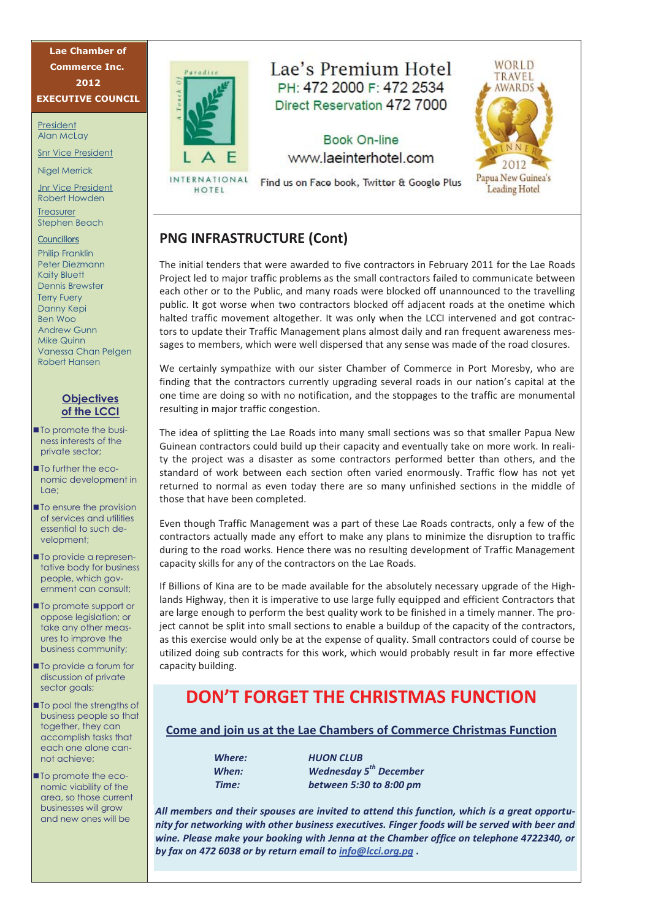**Lae Chamber of Commerce Inc. 2012 EXECUTIVE COUNCIL**

President Alan McLay

Snr Vice President

Nigel Merrick

Jnr Vice President Robert Howden

**Treasurer** Stephen Beach

#### Councillors

Philip Franklin Peter Diezmann Kaity Bluett Dennis Brewster Terry Fuery Danny Kepi Ben Woo Andrew Gunn Mike Quinn Vanessa Chan Pelgen Robert Hansen

#### **Objectives of the LCCI**

- To promote the business interests of the private sector;
- **To further the eco**nomic development in Lae;
- **To ensure the provision** of services and utilities essential to such development;
- **To provide a represen**tative body for business people, which government can consult;
- **To promote support or** oppose legislation; or take any other measures to improve the business community;
- To provide a forum for discussion of private sector goals;
- **To pool the strengths of** business people so that together, they can accomplish tasks that each one alone cannot achieve;
- **To promote the eco**nomic viability of the area, so those current businesses will grow and new ones will be



## Lae's Premium Hotel PH: 472 2000 F: 472 2534 Direct Reservation 472 7000

## **Book On-line** www.laeinterhotel.com



INTERNATIONAL Find us on Face book, Twitter & Google Plus HOTEL

### **PNG INFRASTRUCTURE (Cont)**

The initial tenders that were awarded to five contractors in February 2011 for the Lae Roads Project led to major traffic problems as the small contractors failed to communicate between each other or to the Public, and many roads were blocked off unannounced to the travelling public. It got worse when two contractors blocked off adjacent roads at the onetime which halted traffic movement altogether. It was only when the LCCI intervened and got contractors to update their Traffic Management plans almost daily and ran frequent awareness messages to members, which were well dispersed that any sense was made of the road closures.

We certainly sympathize with our sister Chamber of Commerce in Port Moresby, who are finding that the contractors currently upgrading several roads in our nation's capital at the one time are doing so with no notification, and the stoppages to the traffic are monumental resulting in major traffic congestion.

The idea of splitting the Lae Roads into many small sections was so that smaller Papua New Guinean contractors could build up their capacity and eventually take on more work. In reality the project was a disaster as some contractors performed better than others, and the standard of work between each section often varied enormously. Traffic flow has not yet returned to normal as even today there are so many unfinished sections in the middle of those that have been completed.

Even though Traffic Management was a part of these Lae Roads contracts, only a few of the contractors actually made any effort to make any plans to minimize the disruption to traffic during to the road works. Hence there was no resulting development of Traffic Management capacity skills for any of the contractors on the Lae Roads.

If Billions of Kina are to be made available for the absolutely necessary upgrade of the Highlands Highway, then it is imperative to use large fully equipped and efficient Contractors that are large enough to perform the best quality work to be finished in a timely manner. The project cannot be split into small sections to enable a buildup of the capacity of the contractors, as this exercise would only be at the expense of quality. Small contractors could of course be utilized doing sub contracts for this work, which would probably result in far more effective capacity building.

## **DON'T FORGET THE CHRISTMAS FUNCTION**

#### **Come and join us at the Lae Chambers of Commerce Christmas Function**

*Where: HUON CLUB* 

*When: Wednesday 5th December Time: between 5:30 to 8:00 pm* 

*All members and their spouses are invited to attend this function, which is a great opportunity for networking with other business executives. Finger foods will be served with beer and wine. Please make your booking with Jenna at the Chamber office on telephone 4722340, or by fax on 472 6038 or by return email to info@lcci.org.pg .*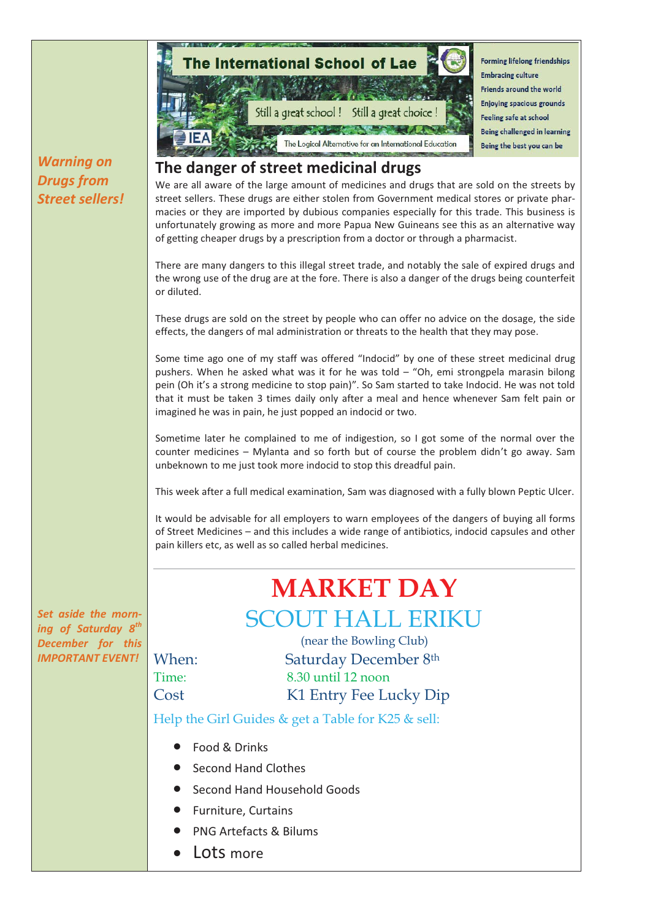

Food & Drinks

*Drugs from* 

- Second Hand Clothes
- Second Hand Household Goods
- Furniture, Curtains
- PNG Artefacts & Bilums
- Lots more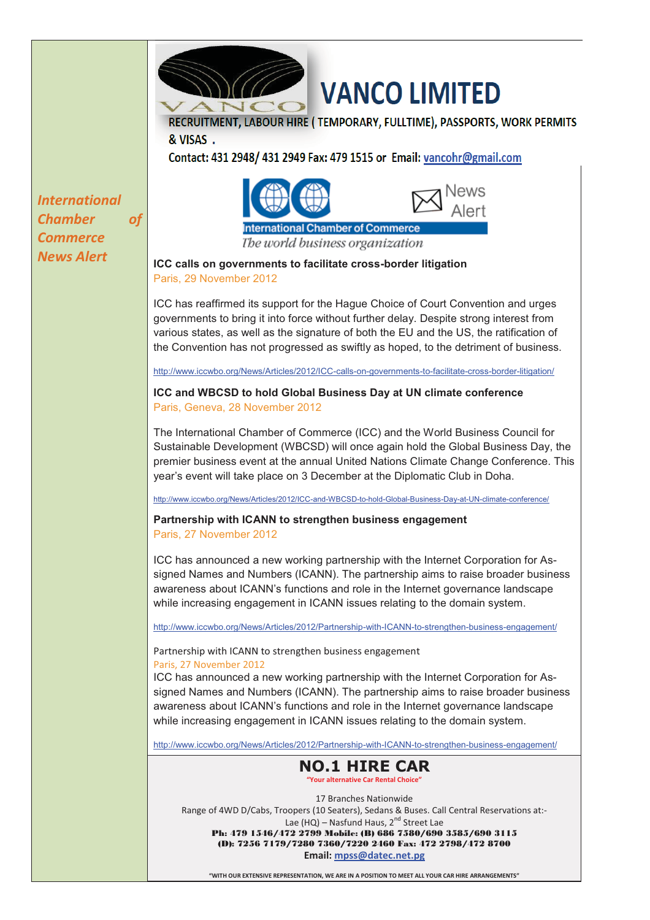

## VANCO LIMITED

RECRUITMENT, LABOUR HIRE (TEMPORARY, FULLTIME), PASSPORTS, WORK PERMITS & VISAS.

Contact: 431 2948/ 431 2949 Fax: 479 1515 or Email: vancohr@gmail.com

*International Chamber of Commerce* 



The world business organization

*News Alert* **<b>ICC** calls on governments to facilitate cross-border litigation Paris, 29 November 2012

> ICC has reaffirmed its support for the Hague Choice of Court Convention and urges governments to bring it into force without further delay. Despite strong interest from various states, as well as the signature of both the EU and the US, the ratification of the Convention has not progressed as swiftly as hoped, to the detriment of business.

http://www.iccwbo.org/News/Articles/2012/ICC-calls-on-governments-to-facilitate-cross-border-litigation/

**ICC and WBCSD to hold Global Business Day at UN climate conference** Paris, Geneva, 28 November 2012

The International Chamber of Commerce (ICC) and the World Business Council for Sustainable Development (WBCSD) will once again hold the Global Business Day, the premier business event at the annual United Nations Climate Change Conference. This year's event will take place on 3 December at the Diplomatic Club in Doha.

http://www.iccwbo.org/News/Articles/2012/ICC-and-WBCSD-to-hold-Global-Business-Day-at-UN-climate-conference/

**Partnership with ICANN to strengthen business engagement** Paris, 27 November 2012

ICC has announced a new working partnership with the Internet Corporation for Assigned Names and Numbers (ICANN). The partnership aims to raise broader business awareness about ICANN's functions and role in the Internet governance landscape while increasing engagement in ICANN issues relating to the domain system.

http://www.iccwbo.org/News/Articles/2012/Partnership-with-ICANN-to-strengthen-business-engagement/

Partnership with ICANN to strengthen business engagement Paris, 27 November 2012

ICC has announced a new working partnership with the Internet Corporation for Assigned Names and Numbers (ICANN). The partnership aims to raise broader business awareness about ICANN's functions and role in the Internet governance landscape while increasing engagement in ICANN issues relating to the domain system.

http://www.iccwbo.org/News/Articles/2012/Partnership-with-ICANN-to-strengthen-business-engagement/

#### **NO.1 HIRE CAR "Your alternative Car Rental Choice"**

17 Branches Nationwide Range of 4WD D/Cabs, Troopers (10 Seaters), Sedans & Buses. Call Central Reservations at:- Lae (HQ) – Nasfund Haus, 2<sup>nd</sup> Street Lae<br>**Ph: 479 1546/472 2799 Mobile: (B) 686 7580/690 3585/690 3115** (D): 7256 7179/7280 7360/7220 2460 Fax: 472 2798/472 8700 **Email: mpss@datec.net.pg**

**"WITH OUR EXTENSIVE REPRESENTATION, WE ARE IN A POSITION TO MEET ALL YOUR CAR HIRE ARRANGEMENTS"**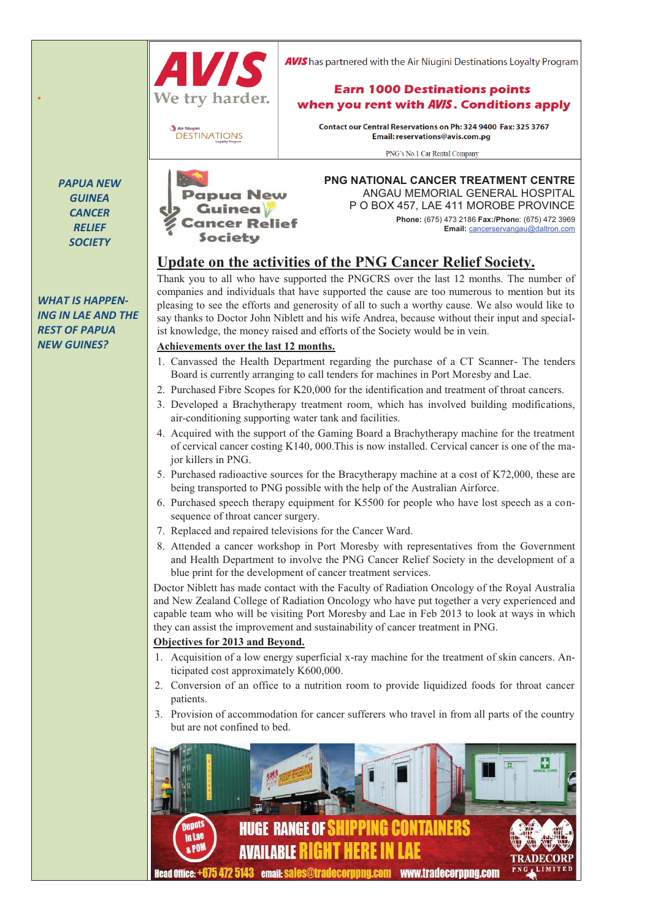

**AVIS** has partnered with the Air Niugini Destinations Lovalty Program

#### **Earn 1000 Destinations points** when you rent with AVIS. Conditions apply

**DESTINATIONS** 

Contact our Central Reservations on Ph: 324 9400 Fax: 325 3767 Email: reservations@avis.com.pg

PNG's No.1 Car Rental Company

*PAPUA NEW GUINEA CANCER RELIEF SOCIETY* 

*.* 

*WHAT IS HAPPEN-ING IN LAE AND THE REST OF PAPUA NEW GUINES?* 



**PNG NATIONAL CANCER TREATMENT CENTRE** ANGAU MEMORIAL GENERAL HOSPITAL P O BOX 457, LAE 411 MOROBE PROVINCE **Phone:** (675) 473 2186 **Fax:/Phon**e: (675) 472 3969

**Email:** cancerservangau@daltron.com

## **Update on the activities of the PNG Cancer Relief Society.**

Thank you to all who have supported the PNGCRS over the last 12 months. The number of companies and individuals that have supported the cause are too numerous to mention but its pleasing to see the efforts and generosity of all to such a worthy cause. We also would like to say thanks to Doctor John Niblett and his wife Andrea, because without their input and specialist knowledge, the money raised and efforts of the Society would be in vein.

#### **Achievements over the last 12 months.**

- 1. Canvassed the Health Department regarding the purchase of a CT Scanner- The tenders Board is currently arranging to call tenders for machines in Port Moresby and Lae.
- 2. Purchased Fibre Scopes for K20,000 for the identification and treatment of throat cancers.
- 3. Developed a Brachytherapy treatment room, which has involved building modifications, air-conditioning supporting water tank and facilities.
- 4. Acquired with the support of the Gaming Board a Brachytherapy machine for the treatment of cervical cancer costing K140, 000.This is now installed. Cervical cancer is one of the major killers in PNG.
- 5. Purchased radioactive sources for the Bracytherapy machine at a cost of K72,000, these are being transported to PNG possible with the help of the Australian Airforce.
- 6. Purchased speech therapy equipment for K5500 for people who have lost speech as a consequence of throat cancer surgery.
- 7. Replaced and repaired televisions for the Cancer Ward.
- 8. Attended a cancer workshop in Port Moresby with representatives from the Government and Health Department to involve the PNG Cancer Relief Society in the development of a blue print for the development of cancer treatment services.

Doctor Niblett has made contact with the Faculty of Radiation Oncology of the Royal Australia and New Zealand College of Radiation Oncology who have put together a very experienced and capable team who will be visiting Port Moresby and Lae in Feb 2013 to look at ways in which they can assist the improvement and sustainability of cancer treatment in PNG.

#### **Objectives for 2013 and Beyond.**

- 1. Acquisition of a low energy superficial x-ray machine for the treatment of skin cancers. Anticipated cost approximately K600,000.
- 2. Conversion of an office to a nutrition room to provide liquidized foods for throat cancer patients.
- 3. Provision of accommodation for cancer sufferers who travel in from all parts of the country but are not confined to bed.

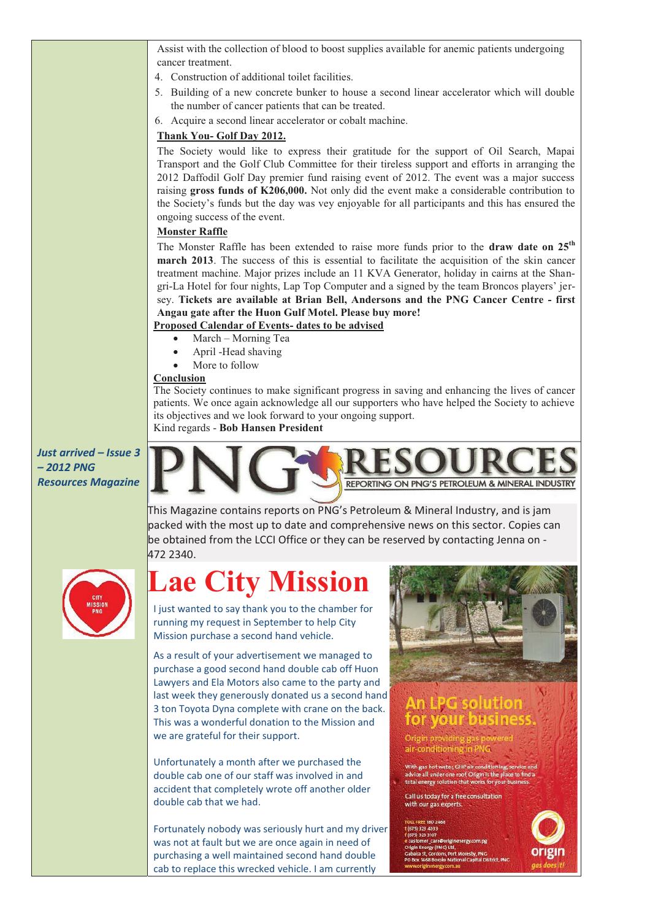Assist with the collection of blood to boost supplies available for anemic patients undergoing cancer treatment.

- 4. Construction of additional toilet facilities.
- 5. Building of a new concrete bunker to house a second linear accelerator which will double the number of cancer patients that can be treated.
- 6. Acquire a second linear accelerator or cobalt machine.

#### **Thank You- Golf Day 2012.**

The Society would like to express their gratitude for the support of Oil Search, Mapai Transport and the Golf Club Committee for their tireless support and efforts in arranging the 2012 Daffodil Golf Day premier fund raising event of 2012. The event was a major success raising **gross funds of K206,000.** Not only did the event make a considerable contribution to the Society's funds but the day was vey enjoyable for all participants and this has ensured the ongoing success of the event.

#### **Monster Raffle**

The Monster Raffle has been extended to raise more funds prior to the **draw date on 25th march 2013**. The success of this is essential to facilitate the acquisition of the skin cancer treatment machine. Major prizes include an 11 KVA Generator, holiday in cairns at the Shangri-La Hotel for four nights, Lap Top Computer and a signed by the team Broncos players' jersey. **Tickets are available at Brian Bell, Andersons and the PNG Cancer Centre - first Angau gate after the Huon Gulf Motel. Please buy more!** 

#### **Proposed Calendar of Events- dates to be advised**

- March Morning Tea
- April -Head shaving
- More to follow

#### **Conclusion**

The Society continues to make significant progress in saving and enhancing the lives of cancer patients. We once again acknowledge all our supporters who have helped the Society to achieve its objectives and we look forward to your ongoing support.

Kind regards - **Bob Hansen President** 

*Just arrived – Issue 3 – 2012 PNG Resources Magazine* 



This Magazine contains reports on PNG's Petroleum & Mineral Industry, and is jam packed with the most up to date and comprehensive news on this sector. Copies can be obtained from the LCCI Office or they can be reserved by contacting Jenna on - 472 2340.

# **Lae City Mission**

I just wanted to say thank you to the chamber for running my request in September to help City Mission purchase a second hand vehicle.

As a result of your advertisement we managed to purchase a good second hand double cab off Huon Lawyers and Ela Motors also came to the party and last week they generously donated us a second hand 3 ton Toyota Dyna complete with crane on the back. This was a wonderful donation to the Mission and we are grateful for their support.

Unfortunately a month after we purchased the double cab one of our staff was involved in and accident that completely wrote off another older double cab that we had.

Fortunately nobody was seriously hurt and my driver was not at fault but we are once again in need of purchasing a well maintained second hand double cab to replace this wrecked vehicle. I am currently



## An BPG solution for your busines

Origin providing air-conditioning in PNG

.<br>With gas hot water, GHP air conditioning, service and<br>advice all under one roof, Origin is the place to find a<br>total energy solution that works for your business.

Call us today for a free consultation with our gas experts

\_careworign<br>rgy (PNG) Ltd rdons, Port Moresby, PNG<br>Joroko National Capital Dis